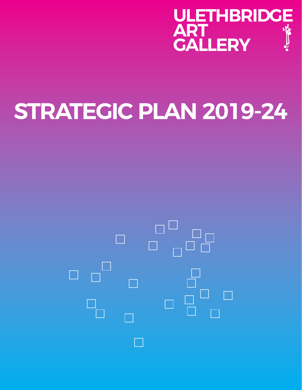

# **STRATEGIC PLAN 2019-24**

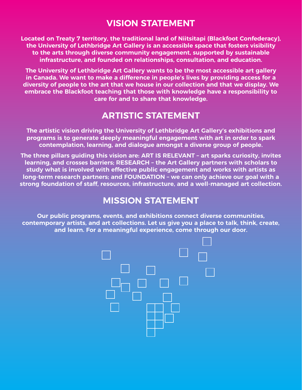# **VISION STATEMENT**

**Located on Treaty 7 territory, the traditional land of Niitsitapi (Blackfoot Confederacy), the University of Lethbridge Art Gallery is an accessible space that fosters visibility to the arts through diverse community engagement, supported by sustainable infrastructure, and founded on relationships, consultation, and education.**

**The University of Lethbridge Art Gallery wants to be the most accessible art gallery in Canada. We want to make a difference in people's lives by providing access for a diversity of people to the art that we house in our collection and that we display. We embrace the Blackfoot teaching that those with knowledge have a responsibility to care for and to share that knowledge.**

# **ARTISTIC STATEMENT**

**The artistic vision driving the University of Lethbridge Art Gallery's exhibitions and programs is to generate deeply meaningful engagement with art in order to spark contemplation, learning, and dialogue amongst a diverse group of people.**

**The three pillars guiding this vision are: ART IS RELEVANT – art sparks curiosity, invites learning, and crosses barriers; RESEARCH – the Art Gallery partners with scholars to study what is involved with effective public engagement and works with artists as long-term research partners; and FOUNDATION – we can only achieve our goal with a strong foundation of staff, resources, infrastructure, and a well-managed art collection.**

## **MISSION STATEMENT**

**Our public programs, events, and exhibitions connect diverse communities, contemporary artists, and art collections. Let us give you a place to talk, think, create, and learn. For a meaningful experience, come through our door.**

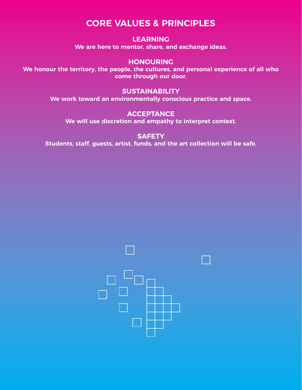# **CORE VALUES & PRINCIPLES**

#### **LEARNING**

**We are here to mentor, share, and exchange ideas.**

## **HONOURING**

**We honour the territory, the people, the cultures, and personal experience of all who come through our door.**

## **SUSTAINABILITY**

**We work toward an environmentally conscious practice and space.**

## **ACCEPTANCE**

**We will use discretion and empathy to interpret context.**

#### **SAFETY**

**Students, staff, guests, artist, funds, and the art collection will be safe.**

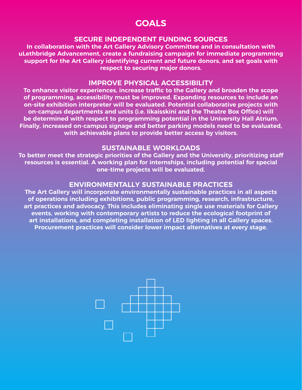## **GOALS**

## **SECURE INDEPENDENT FUNDING SOURCES**

**In collaboration with the Art Gallery Advisory Committee and in consultation with uLethbridge Advancement, create a fundraising campaign for immediate programming support for the Art Gallery identifying current and future donors, and set goals with respect to securing major donors.** 

#### **IMPROVE PHYSICAL ACCESSIBILITY**

**To enhance visitor experiences, increase traffic to the Gallery and broaden the scope of programming, accessibility must be improved. Expanding resources to include an on-site exhibition interpreter will be evaluated. Potential collaborative projects with on-campus departments and units (i.e. Iikaisskini and the Theatre Box Office) will be determined with respect to programming potential in the University Hall Atrium. Finally, increased on-campus signage and better parking models need to be evaluated, with achievable plans to provide better access by visitors.**

#### **SUSTAINABLE WORKLOADS**

**To better meet the strategic priorities of the Gallery and the University, prioritizing staff resources is essential. A working plan for internships, including potential for special one-time projects will be evaluated.** 

## **ENVIRONMENTALLY SUSTAINABLE PRACTICES**

**The Art Gallery will incorporate environmentally sustainable practices in all aspects of operations including exhibitions, public programming, research, infrastructure, art practices and advocacy. This includes eliminating single use materials for Gallery events, working with contemporary artists to reduce the ecological footprint of art installations, and completing installation of LED lighting in all Gallery spaces. Procurement practices will consider lower impact alternatives at every stage.**

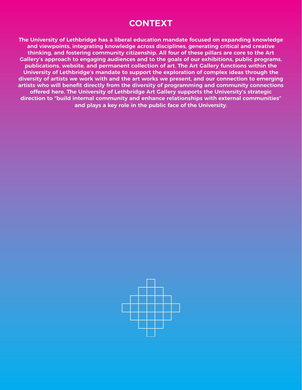## **CONTEXT**

**The University of Lethbridge has a liberal education mandate focused on expanding knowledge and viewpoints, integrating knowledge across disciplines, generating critical and creative thinking, and fostering community citizenship. All four of these pillars are core to the Art Gallery's approach to engaging audiences and to the goals of our exhibitions, public programs, publications, website, and permanent collection of art. The Art Gallery functions within the University of Lethbridge's mandate to support the exploration of complex ideas through the diversity of artists we work with and the art works we present, and our connection to emerging artists who will benefit directly from the diversity of programming and community connections offered here. The University of Lethbridge Art Gallery supports the University's strategic direction to "build internal community and enhance relationships with external communities" and plays a key role in the public face of the University.**